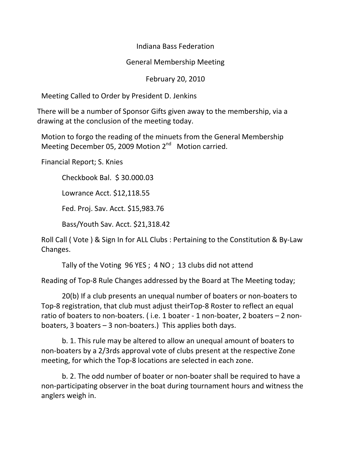Indiana Bass Federation

## General Membership Meeting

## February 20, 2010

Meeting Called to Order by President D. Jenkins

There will be a number of Sponsor Gifts given away to the membership, via a drawing at the conclusion of the meeting today.

Motion to forgo the reading of the minuets from the General Membership Meeting December 05, 2009 Motion 2<sup>nd</sup> Motion carried.

Financial Report; S. Knies

 Checkbook Bal. \$ 30.000.03 Lowrance Acct. \$12,118.55 Fed. Proj. Sav. Acct. \$15,983.76 Bass/Youth Sav. Acct. \$21,318.42

Roll Call ( Vote ) & Sign In for ALL Clubs : Pertaining to the Constitution & By-Law Changes.

Tally of the Voting 96 YES ; 4 NO ; 13 clubs did not attend

Reading of Top-8 Rule Changes addressed by the Board at The Meeting today;

 20(b) If a club presents an unequal number of boaters or non-boaters to Top-8 registration, that club must adjust theirTop-8 Roster to reflect an equal ratio of boaters to non-boaters. ( i.e. 1 boater - 1 non-boater, 2 boaters – 2 nonboaters, 3 boaters – 3 non-boaters.) This applies both days.

 b. 1. This rule may be altered to allow an unequal amount of boaters to non-boaters by a 2/3rds approval vote of clubs present at the respective Zone meeting, for which the Top-8 locations are selected in each zone.

 b. 2. The odd number of boater or non-boater shall be required to have a non-participating observer in the boat during tournament hours and witness the anglers weigh in.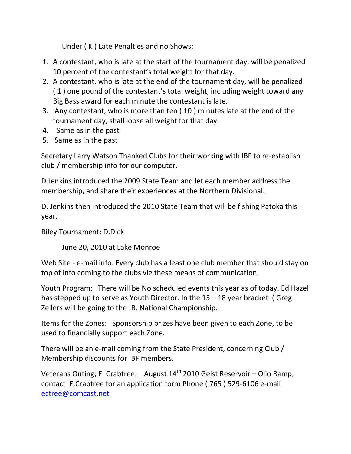Under ( K ) Late Penalties and no Shows;

- 1. A contestant, who is late at the start of the tournament day, will be penalized 10 percent of the contestant's total weight for that day.
- 2. A contestant, who is late at the end of the tournament day, will be penalized ( 1 ) one pound of the contestant's total weight, including weight toward any Big Bass award for each minute the contestant is late.
- 3. Any contestant, who is more than ten ( 10 ) minutes late at the end of the tournament day, shall loose all weight for that day.
- 4. Same as in the past
- 5. Same as in the past

Secretary Larry Watson Thanked Clubs for their working with IBF to re-establish club / membership info for our computer.

D.Jenkins introduced the 2009 State Team and let each member address the membership, and share their experiences at the Northern Divisional.

D. Jenkins then introduced the 2010 State Team that will be fishing Patoka this year.

Riley Tournament: D.Dick

June 20, 2010 at Lake Monroe

Web Site - e-mail info: Every club has a least one club member that should stay on top of info coming to the clubs vie these means of communication.

Youth Program: There will be No scheduled events this year as of today. Ed Hazel has stepped up to serve as Youth Director. In the 15 – 18 year bracket ( Greg Zellers will be going to the JR. National Championship.

Items for the Zones: Sponsorship prizes have been given to each Zone, to be used to financially support each Zone.

There will be an e-mail coming from the State President, concerning Club / Membership discounts for IBF members.

Veterans Outing; E. Crabtree: August  $14<sup>th</sup>$  2010 Geist Reservoir – Olio Ramp, contact E.Crabtree for an application form Phone ( 765 ) 529-6106 e-mail ectree@comcast.net